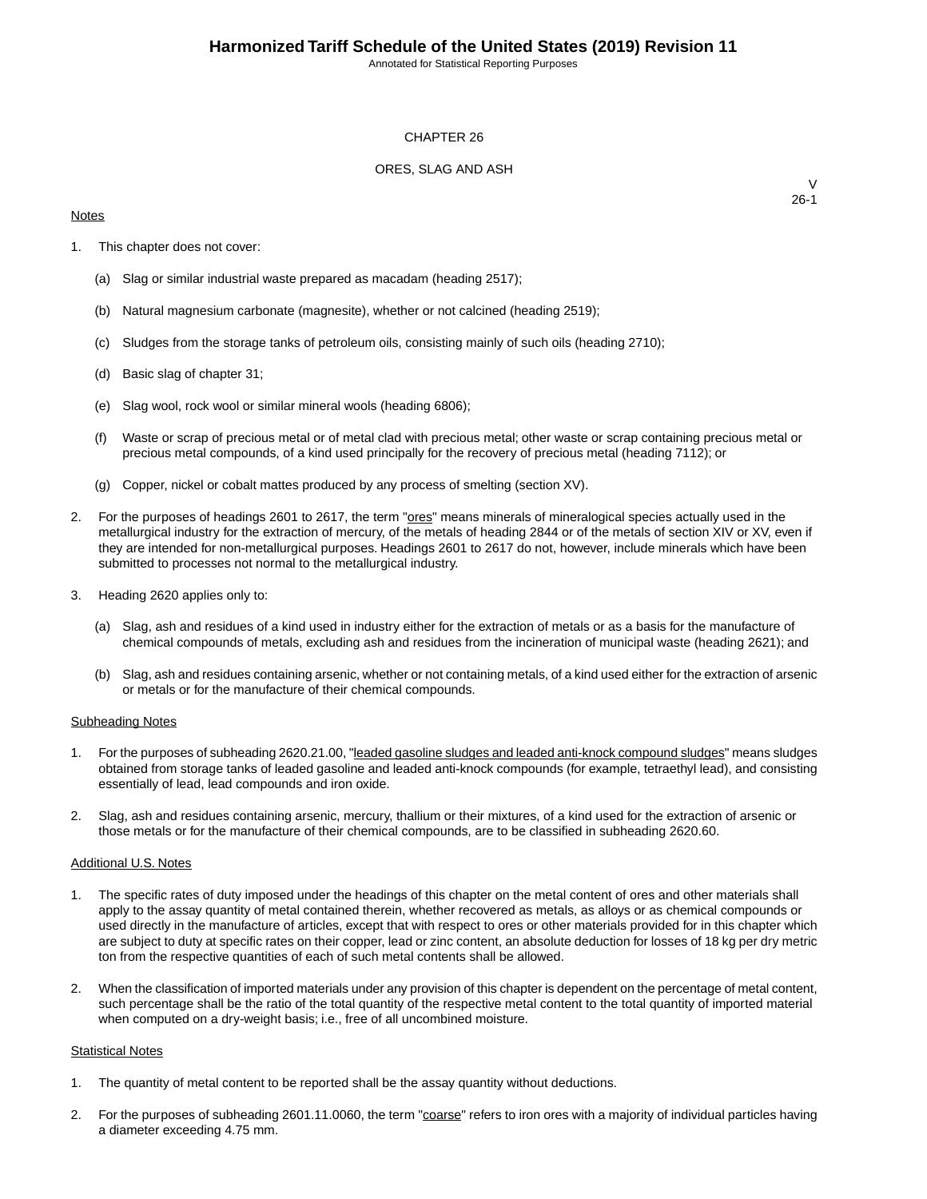Annotated for Statistical Reporting Purposes

#### CHAPTER 26

### ORES, SLAG AND ASH

### **Notes**

 $\vee$ 26-1

- 1. This chapter does not cover:
	- (a) Slag or similar industrial waste prepared as macadam (heading 2517);
	- (b) Natural magnesium carbonate (magnesite), whether or not calcined (heading 2519);
	- (c) Sludges from the storage tanks of petroleum oils, consisting mainly of such oils (heading 2710);
	- (d) Basic slag of chapter 31;
	- (e) Slag wool, rock wool or similar mineral wools (heading 6806);
	- (f) Waste or scrap of precious metal or of metal clad with precious metal; other waste or scrap containing precious metal or precious metal compounds, of a kind used principally for the recovery of precious metal (heading 7112); or
	- (g) Copper, nickel or cobalt mattes produced by any process of smelting (section XV).
- 2. For the purposes of headings 2601 to 2617, the term "**ores"** means minerals of mineralogical species actually used in the metallurgical industry for the extraction of mercury, of the metals of heading 2844 or of the metals of section XIV or XV, even if they are intended for non-metallurgical purposes. Headings 2601 to 2617 do not, however, include minerals which have been submitted to processes not normal to the metallurgical industry.
- 3. Heading 2620 applies only to:
	- (a) Slag, ash and residues of a kind used in industry either for the extraction of metals or as a basis for the manufacture of chemical compounds of metals, excluding ash and residues from the incineration of municipal waste (heading 2621); and
	- (b) Slag, ash and residues containing arsenic, whether or not containing metals, of a kind used either for the extraction of arsenic or metals or for the manufacture of their chemical compounds.

#### Subheading Notes

- 1. For the purposes of subheading 2620.21.00, "leaded gasoline sludges and leaded anti-knock compound sludges" means sludges obtained from storage tanks of leaded gasoline and leaded anti-knock compounds (for example, tetraethyl lead), and consisting essentially of lead, lead compounds and iron oxide.
- 2. Slag, ash and residues containing arsenic, mercury, thallium or their mixtures, of a kind used for the extraction of arsenic or those metals or for the manufacture of their chemical compounds, are to be classified in subheading 2620.60.

#### Additional U.S. Notes

- 1. The specific rates of duty imposed under the headings of this chapter on the metal content of ores and other materials shall apply to the assay quantity of metal contained therein, whether recovered as metals, as alloys or as chemical compounds or used directly in the manufacture of articles, except that with respect to ores or other materials provided for in this chapter which are subject to duty at specific rates on their copper, lead or zinc content, an absolute deduction for losses of 18 kg per dry metric ton from the respective quantities of each of such metal contents shall be allowed.
- 2. When the classification of imported materials under any provision of this chapter is dependent on the percentage of metal content, such percentage shall be the ratio of the total quantity of the respective metal content to the total quantity of imported material when computed on a dry-weight basis; i.e., free of all uncombined moisture.

#### **Statistical Notes**

- 1. The quantity of metal content to be reported shall be the assay quantity without deductions.
- 2. For the purposes of subheading 2601.11.0060, the term "coarse" refers to iron ores with a majority of individual particles having a diameter exceeding 4.75 mm.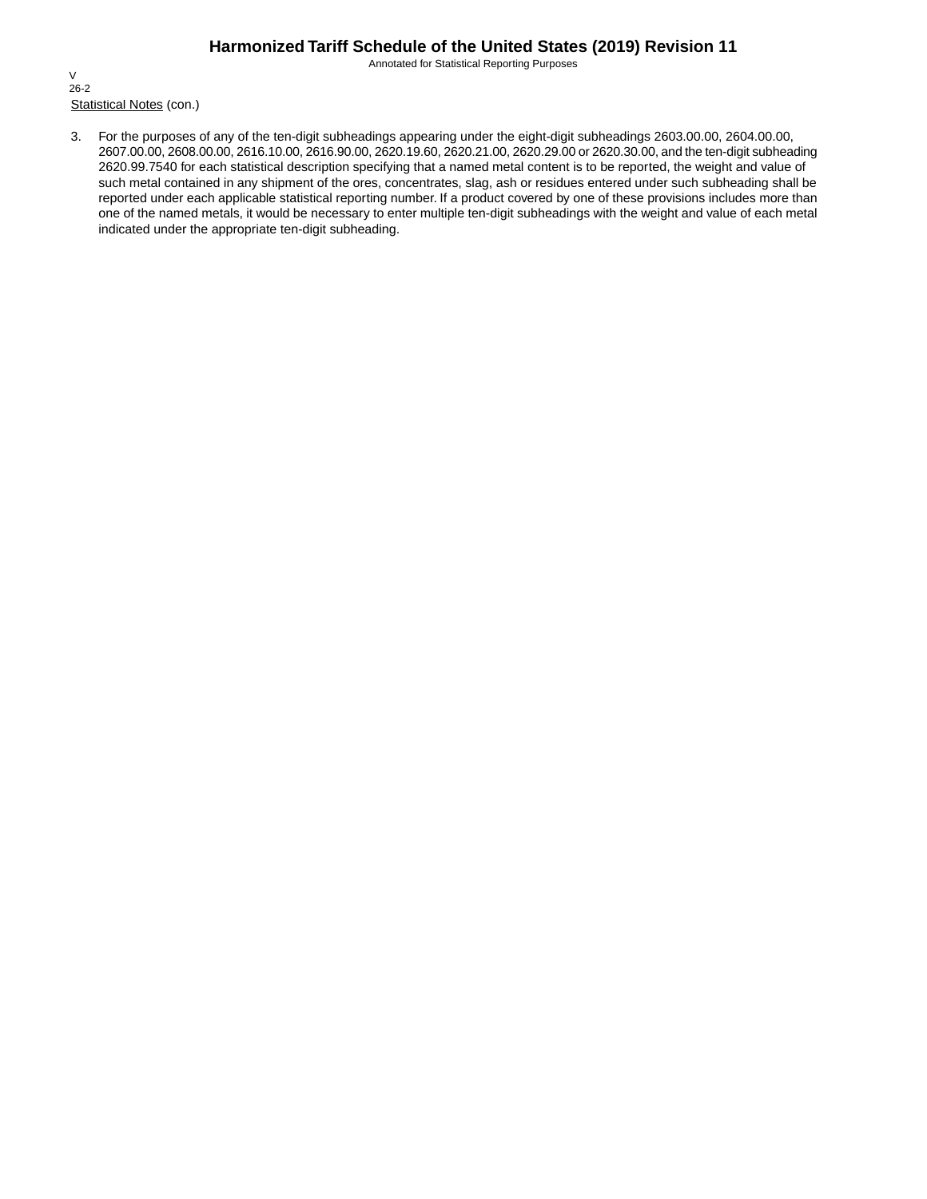Annotated for Statistical Reporting Purposes

Statistical Notes (con.) V 26-2

3. For the purposes of any of the ten-digit subheadings appearing under the eight-digit subheadings 2603.00.00, 2604.00.00, 2607.00.00, 2608.00.00, 2616.10.00, 2616.90.00, 2620.19.60, 2620.21.00, 2620.29.00 or 2620.30.00, and the ten-digit subheading 2620.99.7540 for each statistical description specifying that a named metal content is to be reported, the weight and value of such metal contained in any shipment of the ores, concentrates, slag, ash or residues entered under such subheading shall be reported under each applicable statistical reporting number. If a product covered by one of these provisions includes more than one of the named metals, it would be necessary to enter multiple ten-digit subheadings with the weight and value of each metal indicated under the appropriate ten-digit subheading.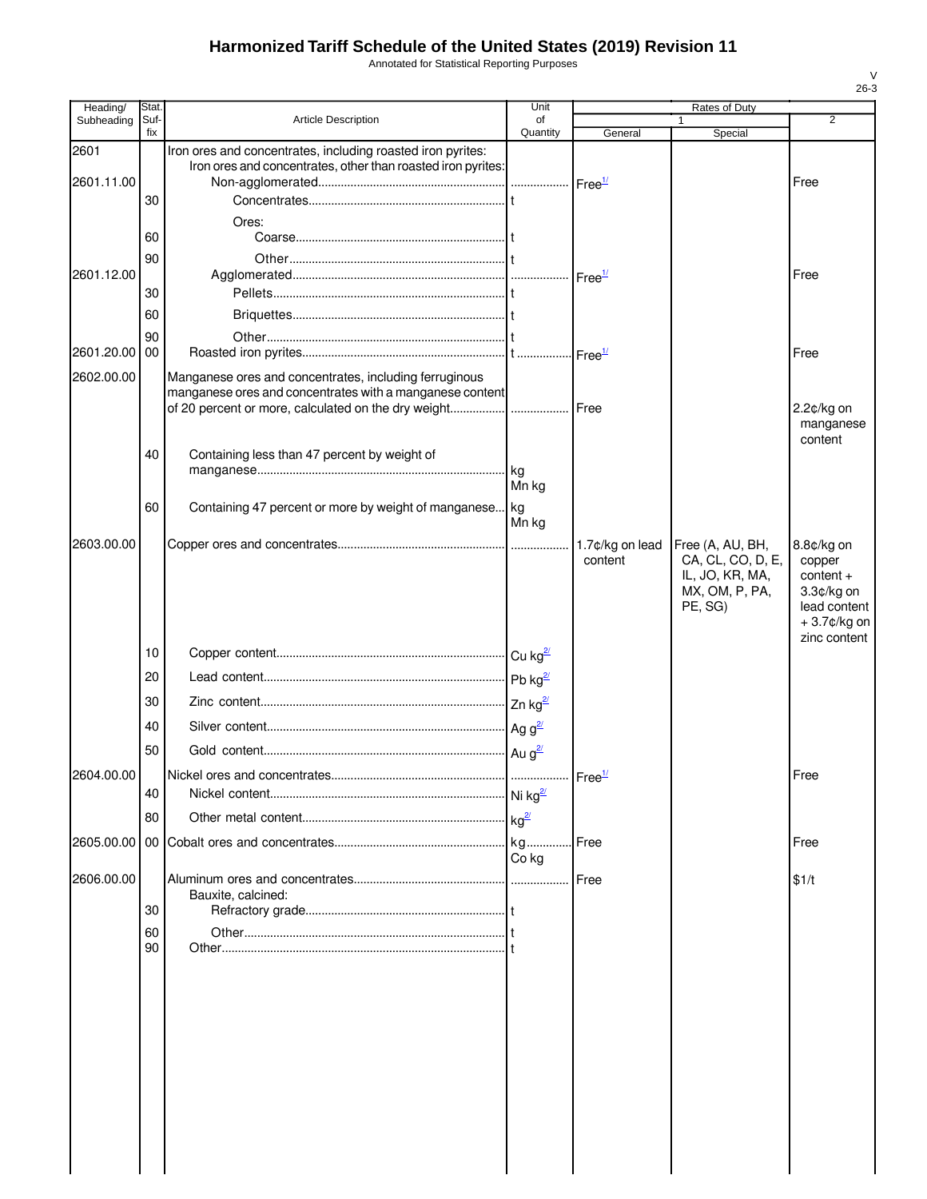Annotated for Statistical Reporting Purposes

| Heading/           | Stat.       |                                                                                                                             | Unit           |                            | Rates of Duty                                                                         |                                                                                                    |
|--------------------|-------------|-----------------------------------------------------------------------------------------------------------------------------|----------------|----------------------------|---------------------------------------------------------------------------------------|----------------------------------------------------------------------------------------------------|
| Subheading         | Suf-<br>fix | <b>Article Description</b>                                                                                                  | of<br>Quantity | General                    | 1<br>Special                                                                          | $\overline{2}$                                                                                     |
| 2601<br>2601.11.00 |             | Iron ores and concentrates, including roasted iron pyrites:<br>Iron ores and concentrates, other than roasted iron pyrites: |                |                            |                                                                                       | Free                                                                                               |
|                    | 30<br>60    | Ores:                                                                                                                       |                |                            |                                                                                       |                                                                                                    |
| 2601.12.00         | 90<br>30    |                                                                                                                             |                |                            |                                                                                       | Free                                                                                               |
|                    | 60<br>90    |                                                                                                                             |                |                            |                                                                                       |                                                                                                    |
| 2601.20.00 00      |             |                                                                                                                             |                |                            |                                                                                       | Free                                                                                               |
| 2602.00.00         |             | Manganese ores and concentrates, including ferruginous<br>manganese ores and concentrates with a manganese content          |                |                            |                                                                                       | $2.2¢/kg$ on<br>manganese<br>content                                                               |
|                    | 40          | Containing less than 47 percent by weight of                                                                                | Mn kg          |                            |                                                                                       |                                                                                                    |
|                    | 60          | Containing 47 percent or more by weight of manganese kg                                                                     | Mn kg          |                            |                                                                                       |                                                                                                    |
| 2603.00.00         |             |                                                                                                                             |                | 1.7¢/kg on lead<br>content | Free (A, AU, BH,<br>CA, CL, CO, D, E,<br>IL, JO, KR, MA,<br>MX, OM, P, PA,<br>PE, SG) | 8.8¢/kg on<br>copper<br>$content +$<br>$3.3¢/kg$ on<br>lead content<br>+3.7¢/kg on<br>zinc content |
|                    | 10          |                                                                                                                             |                |                            |                                                                                       |                                                                                                    |
|                    | 20          |                                                                                                                             |                |                            |                                                                                       |                                                                                                    |
|                    | 30          |                                                                                                                             |                |                            |                                                                                       |                                                                                                    |
|                    | 40          |                                                                                                                             |                |                            |                                                                                       |                                                                                                    |
|                    |             |                                                                                                                             |                |                            |                                                                                       |                                                                                                    |
|                    | 50          |                                                                                                                             |                |                            |                                                                                       |                                                                                                    |
| 2604.00.00         |             | Nickel ores and concentrates.                                                                                               |                | Free <sup>1/</sup>         |                                                                                       | Free                                                                                               |
|                    | 40          |                                                                                                                             |                |                            |                                                                                       |                                                                                                    |
|                    | 80          |                                                                                                                             |                |                            |                                                                                       |                                                                                                    |
|                    |             |                                                                                                                             | Co kg          | Free                       |                                                                                       | Free                                                                                               |
| 2606.00.00         | 30          | Bauxite, calcined:                                                                                                          |                | Free                       |                                                                                       | \$1/t                                                                                              |
|                    | 60          |                                                                                                                             |                |                            |                                                                                       |                                                                                                    |
|                    | 90          |                                                                                                                             |                |                            |                                                                                       |                                                                                                    |
|                    |             |                                                                                                                             |                |                            |                                                                                       |                                                                                                    |
|                    |             |                                                                                                                             |                |                            |                                                                                       |                                                                                                    |
|                    |             |                                                                                                                             |                |                            |                                                                                       |                                                                                                    |
|                    |             |                                                                                                                             |                |                            |                                                                                       |                                                                                                    |
|                    |             |                                                                                                                             |                |                            |                                                                                       |                                                                                                    |
|                    |             |                                                                                                                             |                |                            |                                                                                       |                                                                                                    |
|                    |             |                                                                                                                             |                |                            |                                                                                       |                                                                                                    |
|                    |             |                                                                                                                             |                |                            |                                                                                       |                                                                                                    |
|                    |             |                                                                                                                             |                |                            |                                                                                       |                                                                                                    |
|                    |             |                                                                                                                             |                |                            |                                                                                       |                                                                                                    |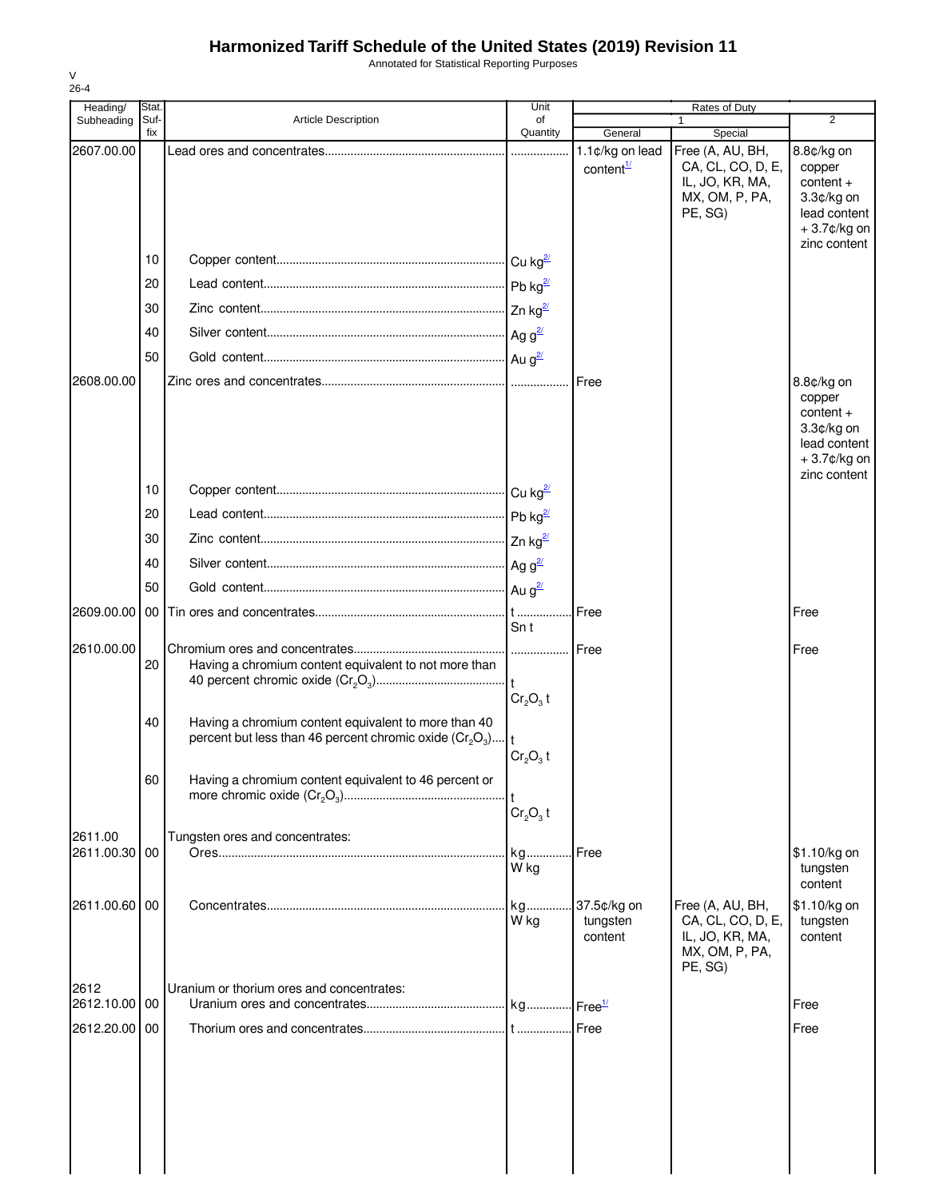Annotated for Statistical Reporting Purposes

| ۰. |  |
|----|--|

| Heading/      | Stat.       |                                                                                                                    | Unit                             |                                          | Rates of Duty                                                                         |                                                                                                  |
|---------------|-------------|--------------------------------------------------------------------------------------------------------------------|----------------------------------|------------------------------------------|---------------------------------------------------------------------------------------|--------------------------------------------------------------------------------------------------|
| Subheading    | Suf-<br>fix | <b>Article Description</b>                                                                                         | of<br>Quantity                   | General                                  | Special                                                                               | $\overline{2}$                                                                                   |
| 2607.00.00    |             |                                                                                                                    |                                  | 1.1¢/kg on lead<br>content $\frac{1}{2}$ | Free (A, AU, BH,<br>CA, CL, CO, D, E,<br>IL, JO, KR, MA,<br>MX, OM, P, PA,<br>PE, SG) | 8.8¢/kg on<br>copper<br>$content +$<br>$3.3¢/kg$ on<br>lead content<br>+3.7¢/kg on               |
|               | 10          |                                                                                                                    |                                  |                                          |                                                                                       | zinc content                                                                                     |
|               | 20          |                                                                                                                    |                                  |                                          |                                                                                       |                                                                                                  |
|               | 30          |                                                                                                                    |                                  |                                          |                                                                                       |                                                                                                  |
|               | 40          |                                                                                                                    |                                  |                                          |                                                                                       |                                                                                                  |
|               | 50          |                                                                                                                    |                                  |                                          |                                                                                       |                                                                                                  |
| 2608.00.00    |             |                                                                                                                    |                                  | Free                                     |                                                                                       | 8.8¢/kg on<br>copper<br>$content +$<br>3.3¢/kg on<br>lead content<br>+3.7¢/kg on<br>zinc content |
|               | 10          |                                                                                                                    |                                  |                                          |                                                                                       |                                                                                                  |
|               | 20          |                                                                                                                    |                                  |                                          |                                                                                       |                                                                                                  |
|               | 30          |                                                                                                                    |                                  |                                          |                                                                                       |                                                                                                  |
|               | 40          |                                                                                                                    |                                  |                                          |                                                                                       |                                                                                                  |
|               | 50          |                                                                                                                    |                                  |                                          |                                                                                       |                                                                                                  |
| 2609.00.00    | 00          |                                                                                                                    | Sn t                             | Free                                     |                                                                                       | Free                                                                                             |
| 2610.00.00    | 20          | Having a chromium content equivalent to not more than                                                              | Cr <sub>2</sub> O <sub>3</sub> t | Free                                     |                                                                                       | Free                                                                                             |
|               | 40          | Having a chromium content equivalent to more than 40<br>percent but less than 46 percent chromic oxide $(Cr_2O_3)$ | $\ddagger$<br>$Cr2O3$ t          |                                          |                                                                                       |                                                                                                  |
|               | 60          | Having a chromium content equivalent to 46 percent or                                                              | $Cr_2O_3$ t                      |                                          |                                                                                       |                                                                                                  |
| 2611.00       |             | Tungsten ores and concentrates:                                                                                    |                                  |                                          |                                                                                       |                                                                                                  |
| 2611.00.30 00 |             |                                                                                                                    | kg<br>W kg                       | <b>Free</b>                              |                                                                                       | \$1.10/kg on<br>tungsten<br>content                                                              |
| 2611.00.60 00 |             |                                                                                                                    | kg<br>W kg                       | 37.5¢/kg on<br>tungsten<br>content       | Free (A, AU, BH,<br>CA, CL, CO, D, E,<br>IL, JO, KR, MA,<br>MX, OM, P, PA,<br>PE, SG) | \$1.10/kg on<br>tungsten<br>content                                                              |
| 2612          |             | Uranium or thorium ores and concentrates:                                                                          |                                  |                                          |                                                                                       |                                                                                                  |
| 2612.10.00 00 |             |                                                                                                                    |                                  |                                          |                                                                                       | Free                                                                                             |
| 2612.20.00    | 00          |                                                                                                                    |                                  |                                          |                                                                                       | Free                                                                                             |
|               |             |                                                                                                                    |                                  |                                          |                                                                                       |                                                                                                  |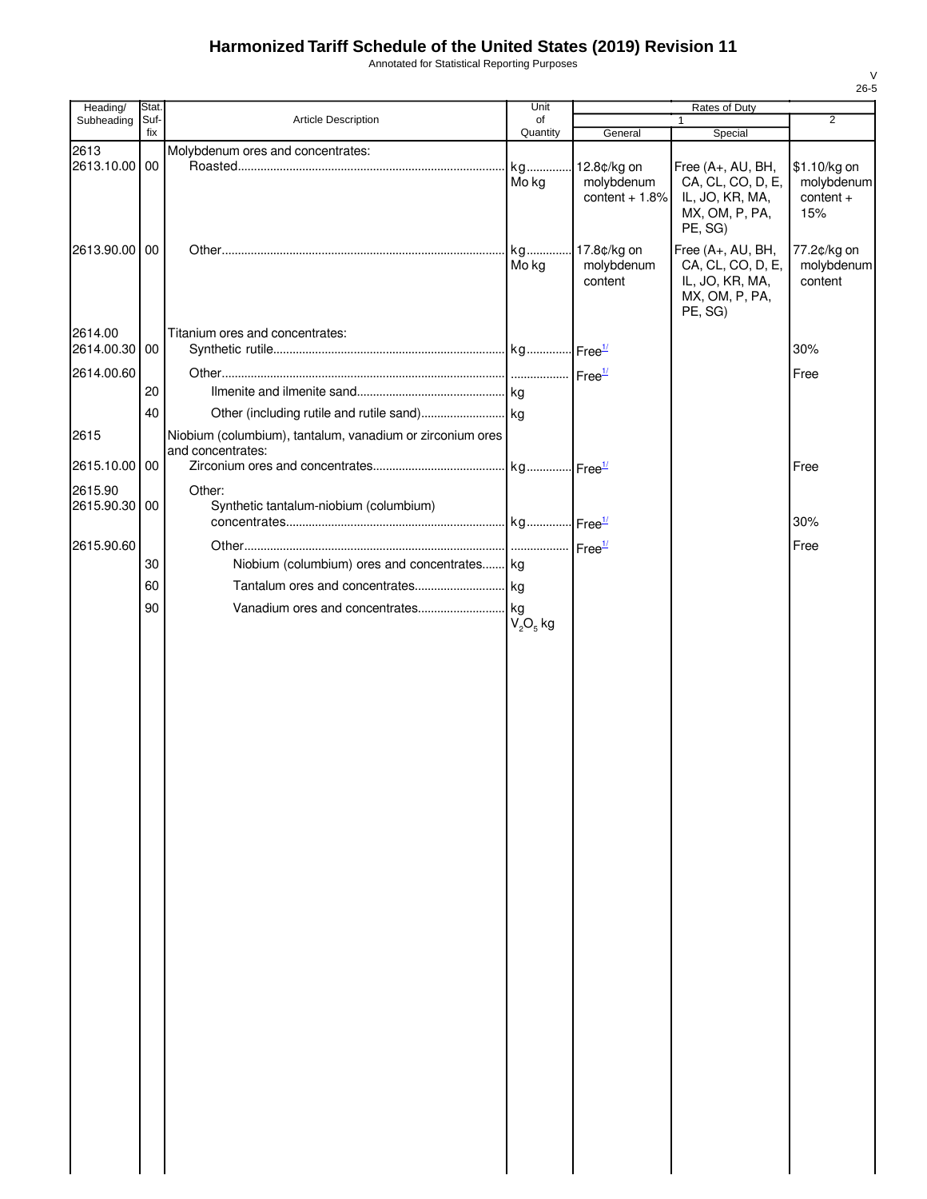Annotated for Statistical Reporting Purposes

| Heading/      | Stat.       |                                                           | Unit           | Rates of Duty             |                                        |                           |
|---------------|-------------|-----------------------------------------------------------|----------------|---------------------------|----------------------------------------|---------------------------|
| Subheading    | Suf-<br>fix | Article Description                                       | of<br>Quantity | General                   | $\mathbf{1}$<br>Special                | $\overline{2}$            |
| 2613          |             | Molybdenum ores and concentrates:                         |                |                           |                                        |                           |
| 2613.10.00 00 |             |                                                           | kg             | 12.8¢/kg on               | Free (A+, AU, BH,                      | \$1.10/kg on              |
|               |             |                                                           | Mo kg          | molybdenum                | CA, CL, CO, D, E,                      | molybdenum                |
|               |             |                                                           |                | content $+1.8%$           | IL, JO, KR, MA,                        | content +                 |
|               |             |                                                           |                |                           | MX, OM, P, PA,<br>PE, SG)              | 15%                       |
|               |             |                                                           |                |                           |                                        |                           |
| 2613.90.00 00 |             |                                                           |                | 17.8¢/kg on<br>molybdenum | Free (A+, AU, BH,<br>CA, CL, CO, D, E, | 77.2¢/kg on<br>molybdenum |
|               |             |                                                           | Mo kg          | content                   | IL, JO, KR, MA,                        | content                   |
|               |             |                                                           |                |                           | MX, OM, P, PA,                         |                           |
|               |             |                                                           |                |                           | PE, SG)                                |                           |
| 2614.00       |             | Titanium ores and concentrates:                           |                |                           |                                        |                           |
| 2614.00.30 00 |             |                                                           |                |                           |                                        | 30%                       |
| 2614.00.60    |             |                                                           |                |                           |                                        | Free                      |
|               | 20          |                                                           |                |                           |                                        |                           |
|               |             |                                                           |                |                           |                                        |                           |
|               | 40          |                                                           |                |                           |                                        |                           |
| 2615          |             | Niobium (columbium), tantalum, vanadium or zirconium ores |                |                           |                                        |                           |
|               |             | and concentrates:                                         |                |                           |                                        |                           |
| 2615.10.00 00 |             |                                                           |                |                           |                                        | Free                      |
| 2615.90       |             | Other:                                                    |                |                           |                                        |                           |
| 2615.90.30 00 |             | Synthetic tantalum-niobium (columbium)                    |                |                           |                                        |                           |
|               |             |                                                           |                |                           |                                        | 30%                       |
| 2615.90.60    |             |                                                           |                |                           |                                        | Free                      |
|               | 30          | Niobium (columbium) ores and concentrates kg              |                |                           |                                        |                           |
|               | 60          |                                                           |                |                           |                                        |                           |
|               | 90          |                                                           |                |                           |                                        |                           |
|               |             |                                                           | $V2O5$ kg      |                           |                                        |                           |
|               |             |                                                           |                |                           |                                        |                           |
|               |             |                                                           |                |                           |                                        |                           |
|               |             |                                                           |                |                           |                                        |                           |
|               |             |                                                           |                |                           |                                        |                           |
|               |             |                                                           |                |                           |                                        |                           |
|               |             |                                                           |                |                           |                                        |                           |
|               |             |                                                           |                |                           |                                        |                           |
|               |             |                                                           |                |                           |                                        |                           |
|               |             |                                                           |                |                           |                                        |                           |
|               |             |                                                           |                |                           |                                        |                           |
|               |             |                                                           |                |                           |                                        |                           |
|               |             |                                                           |                |                           |                                        |                           |
|               |             |                                                           |                |                           |                                        |                           |
|               |             |                                                           |                |                           |                                        |                           |
|               |             |                                                           |                |                           |                                        |                           |
|               |             |                                                           |                |                           |                                        |                           |
|               |             |                                                           |                |                           |                                        |                           |
|               |             |                                                           |                |                           |                                        |                           |
|               |             |                                                           |                |                           |                                        |                           |
|               |             |                                                           |                |                           |                                        |                           |
|               |             |                                                           |                |                           |                                        |                           |
|               |             |                                                           |                |                           |                                        |                           |
|               |             |                                                           |                |                           |                                        |                           |
|               |             |                                                           |                |                           |                                        |                           |
|               |             |                                                           |                |                           |                                        |                           |
|               |             |                                                           |                |                           |                                        |                           |
|               |             |                                                           |                |                           |                                        |                           |
|               |             |                                                           |                |                           |                                        |                           |
|               |             |                                                           |                |                           |                                        |                           |
|               |             |                                                           |                |                           |                                        |                           |
|               |             |                                                           |                |                           |                                        |                           |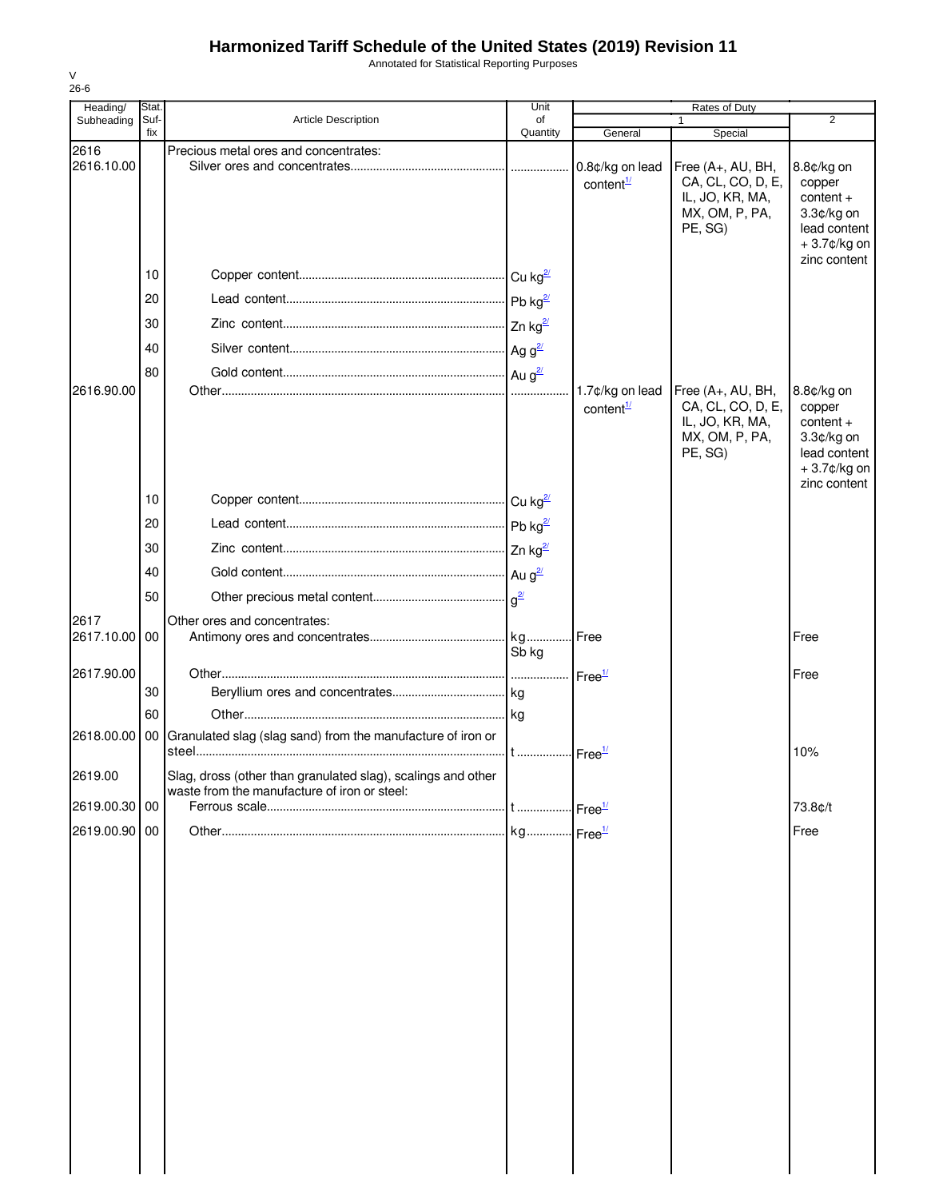Annotated for Statistical Reporting Purposes

| Heading/<br>Subheading | Stat.<br>Suf- | <b>Article Description</b>                                   |                | Rates of Duty<br>$\overline{2}$<br>$\mathbf{1}$ |                                                                                        |                                                                                                       |  |
|------------------------|---------------|--------------------------------------------------------------|----------------|-------------------------------------------------|----------------------------------------------------------------------------------------|-------------------------------------------------------------------------------------------------------|--|
|                        | fix           |                                                              | of<br>Quantity | General                                         | Special                                                                                |                                                                                                       |  |
| 2616<br>2616.10.00     |               | Precious metal ores and concentrates:                        |                | 0.8¢/kg on lead<br>content <sup>1/</sup>        | Free (A+, AU, BH,<br>CA, CL, CO, D, E,<br>IL, JO, KR, MA,<br>MX, OM, P, PA,<br>PE, SG) | 8.8¢/kg on<br>copper<br>$content +$<br>3.3¢/kg on<br>lead content<br>$+3.7$ ¢/kg on                   |  |
|                        | 10            |                                                              |                |                                                 |                                                                                        | zinc content                                                                                          |  |
|                        | 20            |                                                              |                |                                                 |                                                                                        |                                                                                                       |  |
|                        | 30            |                                                              |                |                                                 |                                                                                        |                                                                                                       |  |
|                        | 40            |                                                              |                |                                                 |                                                                                        |                                                                                                       |  |
|                        | 80            |                                                              |                |                                                 |                                                                                        |                                                                                                       |  |
| 2616.90.00             |               |                                                              |                | 1.7¢/kg on lead<br>content <sup>1/</sup>        | Free (A+, AU, BH,<br>CA, CL, CO, D, E,<br>IL, JO, KR, MA,<br>MX, OM, P, PA,<br>PE, SG) | 8.8¢/kg on<br>copper<br>$content +$<br>$3.3¢/kg$ on<br>lead content<br>$+3.7$ ¢/kg on<br>zinc content |  |
|                        | 10            |                                                              |                |                                                 |                                                                                        |                                                                                                       |  |
|                        | 20            |                                                              |                |                                                 |                                                                                        |                                                                                                       |  |
|                        | 30            |                                                              |                |                                                 |                                                                                        |                                                                                                       |  |
|                        | 40            |                                                              |                |                                                 |                                                                                        |                                                                                                       |  |
|                        | 50            |                                                              |                |                                                 |                                                                                        |                                                                                                       |  |
| 2617<br>2617.10.00 00  |               | Other ores and concentrates:                                 |                |                                                 |                                                                                        | Free                                                                                                  |  |
|                        |               |                                                              | Sb kg          |                                                 |                                                                                        |                                                                                                       |  |
| 2617.90.00             | 30            |                                                              |                |                                                 |                                                                                        | Free                                                                                                  |  |
|                        | 60            |                                                              |                |                                                 |                                                                                        |                                                                                                       |  |
| 2618.00.00             | 00            | Granulated slag (slag sand) from the manufacture of iron or  |                |                                                 |                                                                                        | 10%                                                                                                   |  |
| 2619.00                |               | Slag, dross (other than granulated slag), scalings and other |                |                                                 |                                                                                        |                                                                                                       |  |
| 2619.00.30 00          |               | waste from the manufacture of iron or steel:                 |                |                                                 |                                                                                        | 73.8¢/t                                                                                               |  |
|                        |               |                                                              |                |                                                 |                                                                                        |                                                                                                       |  |
| 2619.00.90 00          |               |                                                              |                |                                                 |                                                                                        | Free                                                                                                  |  |
|                        |               |                                                              |                |                                                 |                                                                                        |                                                                                                       |  |
|                        |               |                                                              |                |                                                 |                                                                                        |                                                                                                       |  |
|                        |               |                                                              |                |                                                 |                                                                                        |                                                                                                       |  |
|                        |               |                                                              |                |                                                 |                                                                                        |                                                                                                       |  |
|                        |               |                                                              |                |                                                 |                                                                                        |                                                                                                       |  |
|                        |               |                                                              |                |                                                 |                                                                                        |                                                                                                       |  |
|                        |               |                                                              |                |                                                 |                                                                                        |                                                                                                       |  |
|                        |               |                                                              |                |                                                 |                                                                                        |                                                                                                       |  |
|                        |               |                                                              |                |                                                 |                                                                                        |                                                                                                       |  |
|                        |               |                                                              |                |                                                 |                                                                                        |                                                                                                       |  |
|                        |               |                                                              |                |                                                 |                                                                                        |                                                                                                       |  |
|                        |               |                                                              |                |                                                 |                                                                                        |                                                                                                       |  |
|                        |               |                                                              |                |                                                 |                                                                                        |                                                                                                       |  |
|                        |               |                                                              |                |                                                 |                                                                                        |                                                                                                       |  |

V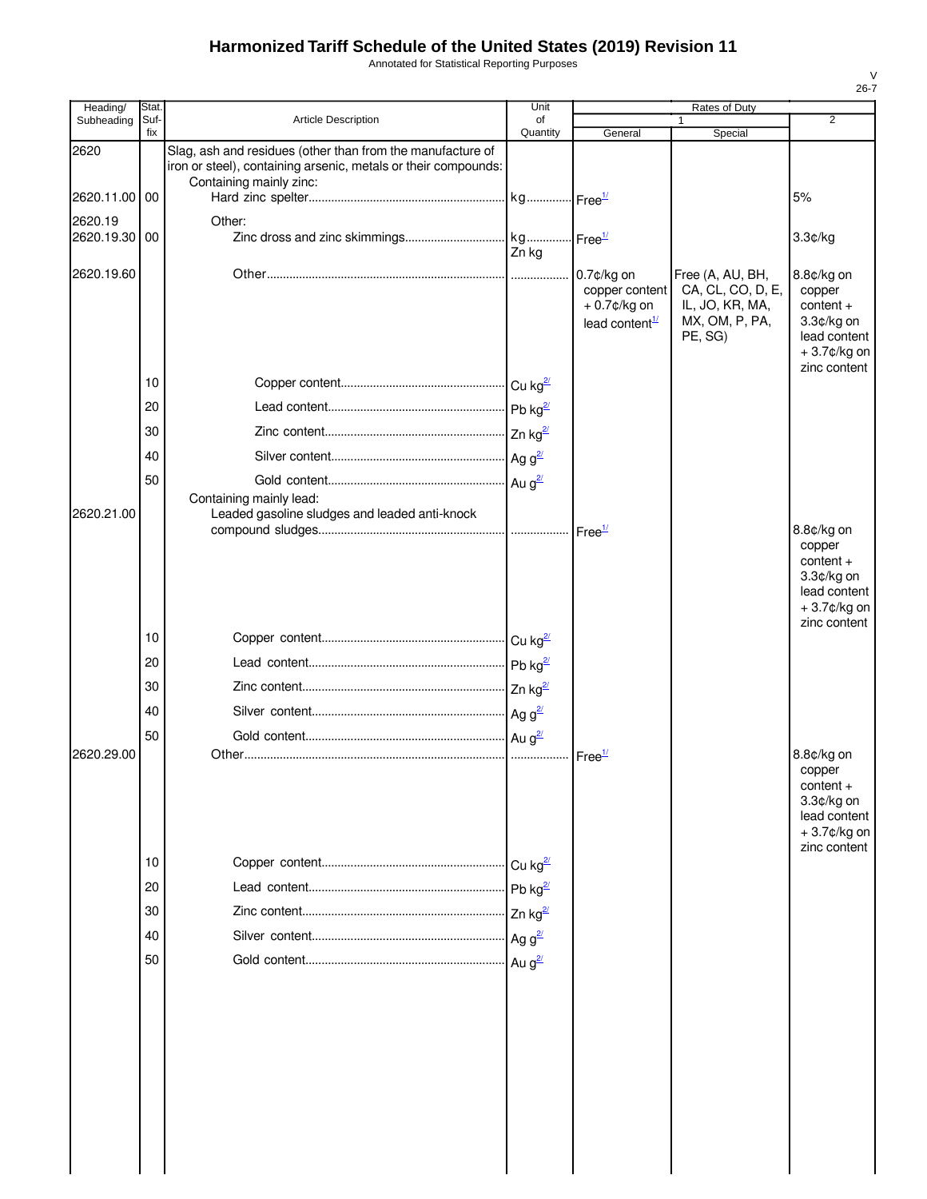Annotated for Statistical Reporting Purposes

| Heading/              | Stat        |                                                                                                                                                         | Unit           |                                                                      | Rates of Duty                                                                         |                                                                                                     |
|-----------------------|-------------|---------------------------------------------------------------------------------------------------------------------------------------------------------|----------------|----------------------------------------------------------------------|---------------------------------------------------------------------------------------|-----------------------------------------------------------------------------------------------------|
| Subheading            | Suf-<br>fix | <b>Article Description</b>                                                                                                                              | of<br>Quantity | General                                                              | $\mathbf{1}$<br>Special                                                               | $\overline{2}$                                                                                      |
| 2620                  |             | Slag, ash and residues (other than from the manufacture of<br>iron or steel), containing arsenic, metals or their compounds:<br>Containing mainly zinc: |                |                                                                      |                                                                                       |                                                                                                     |
| 2620.11.00 00         |             |                                                                                                                                                         |                |                                                                      |                                                                                       | 5%                                                                                                  |
| 2620.19<br>2620.19.30 | 00          | Other:                                                                                                                                                  | Zn kg          |                                                                      |                                                                                       | 3.3¢/kg                                                                                             |
| 2620.19.60            |             |                                                                                                                                                         |                | 0.7¢/kg on<br>copper content<br>$+0.7$ ¢/kg on<br>lead content $1/2$ | Free (A, AU, BH,<br>CA, CL, CO, D, E,<br>IL, JO, KR, MA,<br>MX, OM, P, PA,<br>PE, SG) | 8.8¢/kg on<br>copper<br>$content +$<br>3.3¢/kg on<br>lead content<br>+3.7¢/kg on                    |
|                       | 10          |                                                                                                                                                         |                |                                                                      |                                                                                       | zinc content                                                                                        |
|                       | 20          |                                                                                                                                                         |                |                                                                      |                                                                                       |                                                                                                     |
|                       | 30          |                                                                                                                                                         |                |                                                                      |                                                                                       |                                                                                                     |
|                       | 40          |                                                                                                                                                         |                |                                                                      |                                                                                       |                                                                                                     |
|                       | 50          |                                                                                                                                                         |                |                                                                      |                                                                                       |                                                                                                     |
|                       |             | Containing mainly lead:                                                                                                                                 |                |                                                                      |                                                                                       |                                                                                                     |
| 2620.21.00            |             | Leaded gasoline sludges and leaded anti-knock                                                                                                           |                |                                                                      |                                                                                       |                                                                                                     |
|                       |             |                                                                                                                                                         |                |                                                                      |                                                                                       | 8.8¢/kg on<br>copper<br>$content +$<br>$3.3¢/kg$ on<br>lead content<br>+3.7¢/kg on<br>zinc content  |
|                       | 10          |                                                                                                                                                         |                |                                                                      |                                                                                       |                                                                                                     |
|                       | 20          |                                                                                                                                                         |                |                                                                      |                                                                                       |                                                                                                     |
|                       | 30          |                                                                                                                                                         |                |                                                                      |                                                                                       |                                                                                                     |
|                       | 40          |                                                                                                                                                         |                |                                                                      |                                                                                       |                                                                                                     |
|                       | 50          |                                                                                                                                                         |                |                                                                      |                                                                                       |                                                                                                     |
| 2620.29.00            |             |                                                                                                                                                         |                | $\cdot$ Free <sup>1/</sup>                                           |                                                                                       | 8.8¢/kg on<br>copper<br>$content +$<br>3.3¢/kg on<br>lead content<br>$+3.7$ ¢/kg on<br>zinc content |
|                       | 10          |                                                                                                                                                         |                |                                                                      |                                                                                       |                                                                                                     |
|                       | 20          |                                                                                                                                                         |                |                                                                      |                                                                                       |                                                                                                     |
|                       | 30          |                                                                                                                                                         |                |                                                                      |                                                                                       |                                                                                                     |
|                       | 40          |                                                                                                                                                         |                |                                                                      |                                                                                       |                                                                                                     |
|                       | 50          |                                                                                                                                                         |                |                                                                      |                                                                                       |                                                                                                     |
|                       |             |                                                                                                                                                         |                |                                                                      |                                                                                       |                                                                                                     |

V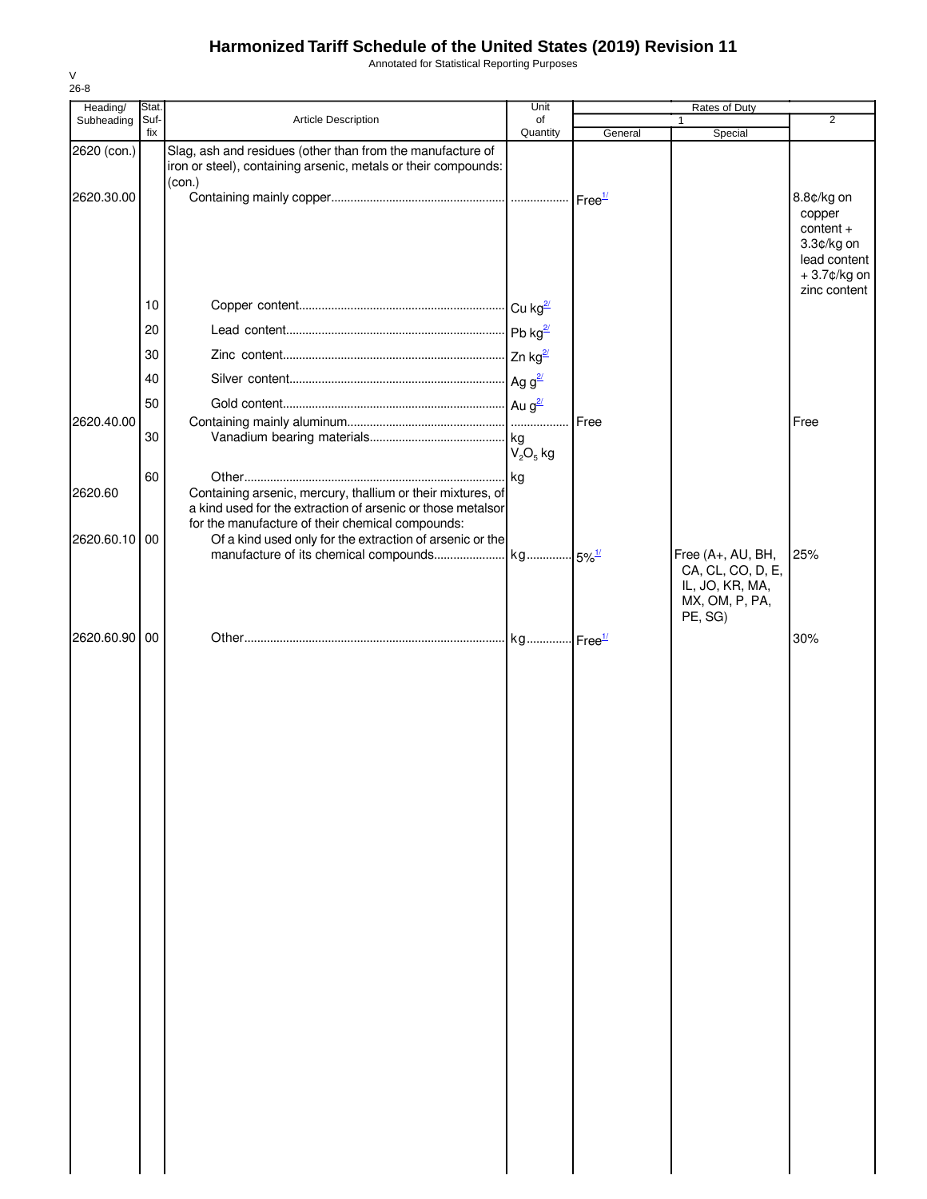Annotated for Statistical Reporting Purposes

| Heading/      | Stat.       |                                                                                                                                                                                | Unit                  | Rates of Duty |                                              |                                                                                                  |
|---------------|-------------|--------------------------------------------------------------------------------------------------------------------------------------------------------------------------------|-----------------------|---------------|----------------------------------------------|--------------------------------------------------------------------------------------------------|
| Subheading    | Suf-<br>fix | Article Description                                                                                                                                                            | of<br>Quantity        | General       | $\mathbf{1}$<br>Special                      | $\overline{2}$                                                                                   |
| 2620 (con.)   |             | Slag, ash and residues (other than from the manufacture of<br>iron or steel), containing arsenic, metals or their compounds:<br>(con.)                                         |                       |               |                                              |                                                                                                  |
| 2620.30.00    |             |                                                                                                                                                                                |                       |               |                                              | 8.8¢/kg on<br>copper<br>$content +$<br>3.3¢/kg on<br>lead content<br>+3.7¢/kg on<br>zinc content |
|               | 10          |                                                                                                                                                                                |                       |               |                                              |                                                                                                  |
|               | 20          |                                                                                                                                                                                |                       |               |                                              |                                                                                                  |
|               | 30          |                                                                                                                                                                                |                       |               |                                              |                                                                                                  |
|               | 40          |                                                                                                                                                                                |                       |               |                                              |                                                                                                  |
|               | 50          |                                                                                                                                                                                |                       |               |                                              |                                                                                                  |
| 2620.40.00    |             |                                                                                                                                                                                |                       | Free          |                                              | Free                                                                                             |
|               | 30          |                                                                                                                                                                                | $\log$<br>$V_2O_5$ kg |               |                                              |                                                                                                  |
| 2620.60       | 60          | Containing arsenic, mercury, thallium or their mixtures, of<br>a kind used for the extraction of arsenic or those metalsor<br>for the manufacture of their chemical compounds: |                       |               |                                              |                                                                                                  |
| 2620.60.10 00 |             | Of a kind used only for the extraction of arsenic or the                                                                                                                       |                       |               | Free (A+, AU, BH,<br>CA, CL, CO, D, E,       | 25%                                                                                              |
|               |             |                                                                                                                                                                                |                       |               | IL, JO, KR, MA,<br>MX, OM, P, PA,<br>PE, SG) |                                                                                                  |
| 2620.60.90 00 |             |                                                                                                                                                                                |                       |               |                                              | 30%                                                                                              |
|               |             |                                                                                                                                                                                |                       |               |                                              |                                                                                                  |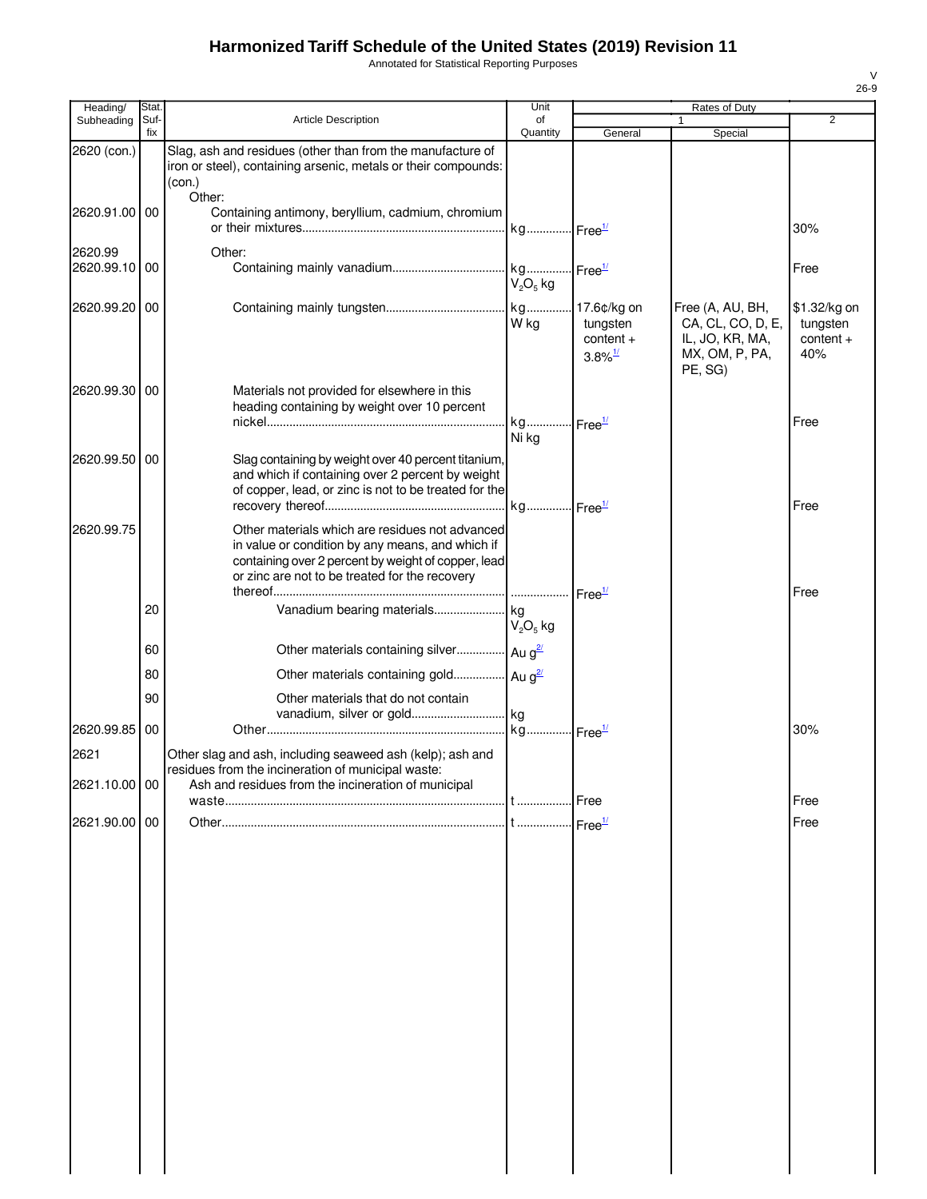Annotated for Statistical Reporting Purposes

| Heading/                 | Stat.       |                                                                                                                                                                                                              | Unit                                 |                                                                    | Rates of Duty                                                                         |                                                |
|--------------------------|-------------|--------------------------------------------------------------------------------------------------------------------------------------------------------------------------------------------------------------|--------------------------------------|--------------------------------------------------------------------|---------------------------------------------------------------------------------------|------------------------------------------------|
| Subheading               | Suf-<br>fix | Article Description                                                                                                                                                                                          | of<br>Quantity                       | General                                                            |                                                                                       | 2                                              |
| 2620 (con.)              |             | Slag, ash and residues (other than from the manufacture of<br>iron or steel), containing arsenic, metals or their compounds:<br>(con.)                                                                       |                                      |                                                                    | Special                                                                               |                                                |
| 2620.91.00 00            |             | Other:<br>Containing antimony, beryllium, cadmium, chromium                                                                                                                                                  | kg Free <sup>1/</sup>                |                                                                    |                                                                                       | 30%                                            |
| 2620.99<br>2620.99.10 00 |             | Other:                                                                                                                                                                                                       | kg Free <sup>1/</sup><br>$V_2O_5$ kg |                                                                    |                                                                                       | Free                                           |
| 2620.99.20 00            |             |                                                                                                                                                                                                              | W kg                                 | kg 17.6¢/kg on<br>tungsten<br>$content +$<br>$3.8\%$ <sup>1/</sup> | Free (A, AU, BH,<br>CA, CL, CO, D, E,<br>IL, JO, KR, MA,<br>MX, OM, P, PA,<br>PE, SG) | \$1.32/kg on<br>tungsten<br>$content +$<br>40% |
| 2620.99.30 00            |             | Materials not provided for elsewhere in this<br>heading containing by weight over 10 percent                                                                                                                 | kg                                   | $\mathsf{I}$ Free $^{\underline{\mathsf{1}\mathsf{1}}}$            |                                                                                       | Free                                           |
|                          |             |                                                                                                                                                                                                              | Ni kg                                |                                                                    |                                                                                       |                                                |
| 2620.99.50 00            |             | Slag containing by weight over 40 percent titanium,<br>and which if containing over 2 percent by weight<br>of copper, lead, or zinc is not to be treated for the                                             |                                      |                                                                    |                                                                                       |                                                |
| 2620.99.75               |             | Other materials which are residues not advanced<br>in value or condition by any means, and which if<br>containing over 2 percent by weight of copper, lead<br>or zinc are not to be treated for the recovery | kg Free <sup>1/</sup>                |                                                                    |                                                                                       | Free                                           |
|                          | 20          | Vanadium bearing materials kg                                                                                                                                                                                | $V2O5$ kg                            | Free <sup>1/</sup>                                                 |                                                                                       | Free                                           |
|                          | 60          | Other materials containing silver Au g <sup>2/</sup>                                                                                                                                                         |                                      |                                                                    |                                                                                       |                                                |
|                          |             |                                                                                                                                                                                                              |                                      |                                                                    |                                                                                       |                                                |
|                          | 80          | Other materials containing gold Au q <sup>2/</sup>                                                                                                                                                           |                                      |                                                                    |                                                                                       |                                                |
| 2620.99.85 00            | 90          | Other materials that do not contain<br>vanadium, silver or gold                                                                                                                                              | kg<br>kg Free <sup>1/</sup>          |                                                                    |                                                                                       | 30%                                            |
|                          |             |                                                                                                                                                                                                              |                                      |                                                                    |                                                                                       |                                                |
| 2621<br>2621.10.00 00    |             | Other slag and ash, including seaweed ash (kelp); ash and<br>residues from the incineration of municipal waste:<br>Ash and residues from the incineration of municipal                                       |                                      |                                                                    |                                                                                       |                                                |
|                          |             |                                                                                                                                                                                                              |                                      | Free                                                               |                                                                                       | Free                                           |
| 2621.90.00 00            |             |                                                                                                                                                                                                              |                                      | Free <sup>1/</sup>                                                 |                                                                                       | Free                                           |
|                          |             |                                                                                                                                                                                                              |                                      |                                                                    |                                                                                       |                                                |